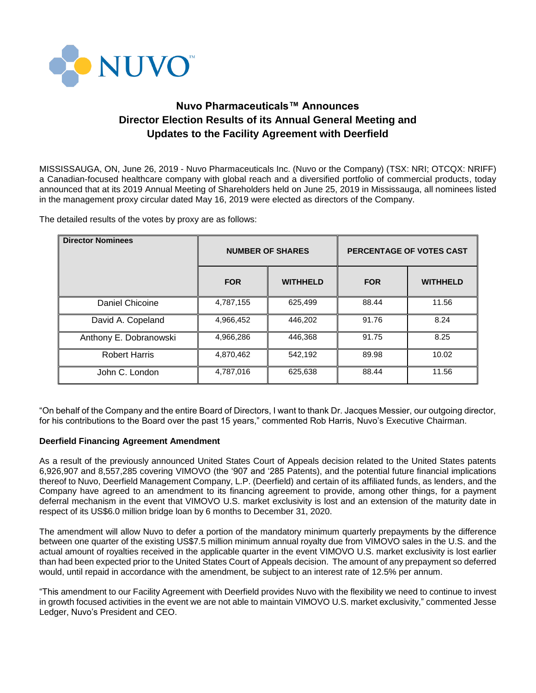

# **Nuvo Pharmaceuticals™ Announces Director Election Results of its Annual General Meeting and Updates to the Facility Agreement with Deerfield**

MISSISSAUGA, ON, June 26, 2019 - Nuvo Pharmaceuticals Inc. (Nuvo or the Company) (TSX: NRI; OTCQX: NRIFF) a Canadian-focused healthcare company with global reach and a diversified portfolio of commercial products, today announced that at its 2019 Annual Meeting of Shareholders held on June 25, 2019 in Mississauga, all nominees listed in the management proxy circular dated May 16, 2019 were elected as directors of the Company.

The detailed results of the votes by proxy are as follows:

| <b>Director Nominees</b> | <b>NUMBER OF SHARES</b> |                 | PERCENTAGE OF VOTES CAST |                 |
|--------------------------|-------------------------|-----------------|--------------------------|-----------------|
|                          | <b>FOR</b>              | <b>WITHHELD</b> | <b>FOR</b>               | <b>WITHHELD</b> |
| Daniel Chicoine          | 4,787,155               | 625,499         | 88.44                    | 11.56           |
| David A. Copeland        | 4,966,452               | 446.202         | 91.76                    | 8.24            |
| Anthony E. Dobranowski   | 4,966,286               | 446.368         | 91.75                    | 8.25            |
| <b>Robert Harris</b>     | 4,870,462               | 542,192         | 89.98                    | 10.02           |
| John C. London           | 4,787,016               | 625,638         | 88.44                    | 11.56           |

"On behalf of the Company and the entire Board of Directors, I want to thank Dr. Jacques Messier, our outgoing director, for his contributions to the Board over the past 15 years," commented Rob Harris, Nuvo's Executive Chairman.

### **Deerfield Financing Agreement Amendment**

As a result of the previously announced United States Court of Appeals decision related to the United States patents 6,926,907 and 8,557,285 covering VIMOVO (the '907 and '285 Patents), and the potential future financial implications thereof to Nuvo, Deerfield Management Company, L.P. (Deerfield) and certain of its affiliated funds, as lenders, and the Company have agreed to an amendment to its financing agreement to provide, among other things, for a payment deferral mechanism in the event that VIMOVO U.S. market exclusivity is lost and an extension of the maturity date in respect of its US\$6.0 million bridge loan by 6 months to December 31, 2020.

The amendment will allow Nuvo to defer a portion of the mandatory minimum quarterly prepayments by the difference between one quarter of the existing US\$7.5 million minimum annual royalty due from VIMOVO sales in the U.S. and the actual amount of royalties received in the applicable quarter in the event VIMOVO U.S. market exclusivity is lost earlier than had been expected prior to the United States Court of Appeals decision. The amount of any prepayment so deferred would, until repaid in accordance with the amendment, be subject to an interest rate of 12.5% per annum.

"This amendment to our Facility Agreement with Deerfield provides Nuvo with the flexibility we need to continue to invest in growth focused activities in the event we are not able to maintain VIMOVO U.S. market exclusivity," commented Jesse Ledger, Nuvo's President and CEO.